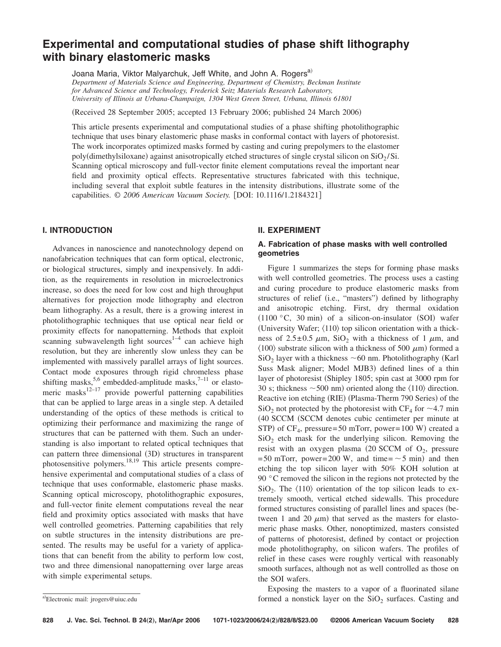# **Experimental and computational studies of phase shift lithography with binary elastomeric masks**

Joana Maria, Viktor Malyarchuk, Jeff White, and John A. Rogers<sup>a)</sup> *Department of Materials Science and Engineering, Department of Chemistry, Beckman Institute for Advanced Science and Technology, Frederick Seitz Materials Research Laboratory, University of Illinois at Urbana-Champaign, 1304 West Green Street, Urbana, Illinois 61801*

(Received 28 September 2005; accepted 13 February 2006; published 24 March 2006)

This article presents experimental and computational studies of a phase shifting photolithographic technique that uses binary elastomeric phase masks in conformal contact with layers of photoresist. The work incorporates optimized masks formed by casting and curing prepolymers to the elastomer poly(dimethylsiloxane) against anisotropically etched structures of single crystal silicon on SiO2/Si. Scanning optical microscopy and full-vector finite element computations reveal the important near field and proximity optical effects. Representative structures fabricated with this technique, including several that exploit subtle features in the intensity distributions, illustrate some of the capabilities. © 2006 American Vacuum Society. [DOI: 10.1116/1.2184321]

# **I. INTRODUCTION**

Advances in nanoscience and nanotechnology depend on nanofabrication techniques that can form optical, electronic, or biological structures, simply and inexpensively. In addition, as the requirements in resolution in microelectronics increase, so does the need for low cost and high throughput alternatives for projection mode lithography and electron beam lithography. As a result, there is a growing interest in photolithographic techniques that use optical near field or proximity effects for nanopatterning. Methods that exploit scanning subwavelength light sources $1-4$  can achieve high resolution, but they are inherently slow unless they can be implemented with massively parallel arrays of light sources. Contact mode exposures through rigid chromeless phase shifting masks,<sup>5,6</sup> embedded-amplitude masks,<sup>7-11</sup> or elastomeric masks $12-17$  provide powerful patterning capabilities that can be applied to large areas in a single step. A detailed understanding of the optics of these methods is critical to optimizing their performance and maximizing the range of structures that can be patterned with them. Such an understanding is also important to related optical techniques that can pattern three dimensional (3D) structures in transparent photosensitive polymers.<sup>18,19</sup> This article presents comprehensive experimental and computational studies of a class of technique that uses conformable, elastomeric phase masks. Scanning optical microscopy, photolithographic exposures, and full-vector finite element computations reveal the near field and proximity optics associated with masks that have well controlled geometries. Patterning capabilities that rely on subtle structures in the intensity distributions are presented. The results may be useful for a variety of applications that can benefit from the ability to perform low cost, two and three dimensional nanopatterning over large areas with simple experimental setups.

## **II. EXPERIMENT**

# **A. Fabrication of phase masks with well controlled geometries**

Figure 1 summarizes the steps for forming phase masks with well controlled geometries. The process uses a casting and curing procedure to produce elastomeric masks from structures of relief (i.e., "masters") defined by lithography and anisotropic etching. First, dry thermal oxidation  $(1100 °C, 30 min)$  of a silicon-on-insulator (SOI) wafer (University Wafer;  $\langle 110 \rangle$  top silicon orientation with a thickness of  $2.5 \pm 0.5$   $\mu$ m, SiO<sub>2</sub> with a thickness of 1  $\mu$ m, and  $\langle 100 \rangle$  substrate silicon with a thickness of 500  $\mu$ m) formed a  $SiO<sub>2</sub>$  layer with a thickness  $\sim 60$  nm. Photolithography (Karl Suss Mask aligner; Model MJB3) defined lines of a thin layer of photoresist (Shipley 1805; spin cast at 3000 rpm for 30 s; thickness  $\sim$  500 nm) oriented along the  $\langle 110 \rangle$  direction. Reactive ion etching (RIE) (Plasma-Therm 790 Series) of the  $SiO<sub>2</sub>$  not protected by the photoresist with CF<sub>4</sub> for  $\sim$  4.7 min (40 SCCM (SCCM denotes cubic centimeter per minute at STP) of  $CF_4$ , pressure=50 mTorr, power=100 W) created a  $SiO<sub>2</sub>$  etch mask for the underlying silicon. Removing the resist with an oxygen plasma (20 SCCM of  $O_2$ , pressure  $= 50$  mTorr, power=200 W, and time =  $\sim$  5 min) and then etching the top silicon layer with 50% KOH solution at 90 °C removed the silicon in the regions not protected by the  $SiO<sub>2</sub>$ . The  $\langle 110 \rangle$  orientation of the top silicon leads to extremely smooth, vertical etched sidewalls. This procedure formed structures consisting of parallel lines and spaces between 1 and 20  $\mu$ m) that served as the masters for elastomeric phase masks. Other, nonoptimized, masters consisted of patterns of photoresist, defined by contact or projection mode photolithography, on silicon wafers. The profiles of relief in these cases were roughly vertical with reasonably smooth surfaces, although not as well controlled as those on the SOI wafers.

Exposing the masters to a vapor of a fluorinated silane formed a nonstick layer on the  $SiO<sub>2</sub>$  surfaces. Casting and

**828 J. Vac. Sci. Technol. B 24**"**2**…**, Mar/Apr 2006 1071-1023/2006/24**"**2**…**/828/8/\$23.00 ©2006 American Vacuum Society 828**

Electronic mail: jrogers@uiuc.edu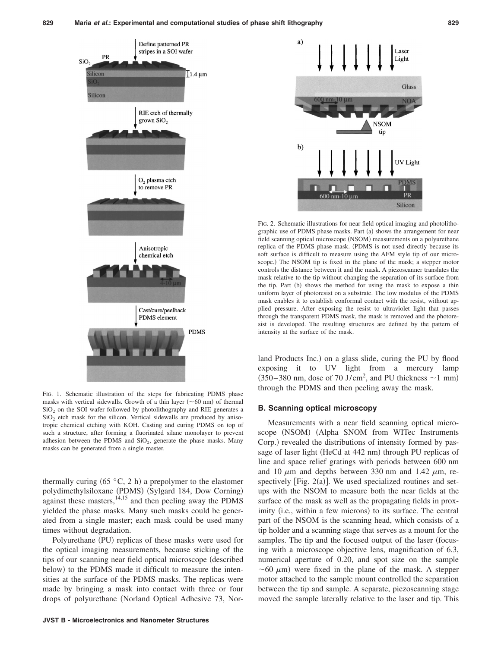

FIG. 1. Schematic illustration of the steps for fabricating PDMS phase masks with vertical sidewalls. Growth of a thin layer  $(\sim 60 \text{ nm})$  of thermal  $SiO<sub>2</sub>$  on the SOI wafer followed by photolithography and RIE generates a  $SiO<sub>2</sub>$  etch mask for the silicon. Vertical sidewalls are produced by anisotropic chemical etching with KOH. Casting and curing PDMS on top of such a structure, after forming a fluorinated silane monolayer to prevent adhesion between the PDMS and  $SiO<sub>2</sub>$ , generate the phase masks. Many masks can be generated from a single master.

thermally curing  $(65 °C, 2 h)$  a prepolymer to the elastomer polydimethylsiloxane (PDMS) (Sylgard 184, Dow Corning) against these masters,  $14,15$  and then peeling away the PDMS yielded the phase masks. Many such masks could be generated from a single master; each mask could be used many times without degradation.

Polyurethane (PU) replicas of these masks were used for the optical imaging measurements, because sticking of the tips of our scanning near field optical microscope described below) to the PDMS made it difficult to measure the intensities at the surface of the PDMS masks. The replicas were made by bringing a mask into contact with three or four drops of polyurethane Norland Optical Adhesive 73, Nor-



FIG. 2. Schematic illustrations for near field optical imaging and photolithographic use of PDMS phase masks. Part (a) shows the arrangement for near field scanning optical microscope (NSOM) measurements on a polyurethane replica of the PDMS phase mask. (PDMS is not used directly because its soft surface is difficult to measure using the AFM style tip of our microscope.) The NSOM tip is fixed in the plane of the mask; a stepper motor controls the distance between it and the mask. A piezoscanner translates the mask relative to the tip without changing the separation of its surface from the tip. Part (b) shows the method for using the mask to expose a thin uniform layer of photoresist on a substrate. The low modulus of the PDMS mask enables it to establish conformal contact with the resist, without applied pressure. After exposing the resist to ultraviolet light that passes through the transparent PDMS mask, the mask is removed and the photoresist is developed. The resulting structures are defined by the pattern of intensity at the surface of the mask.

land Products Inc.) on a glass slide, curing the PU by flood exposing it to UV light from a mercury lamp  $(350-380 \text{ nm}, \text{dose of } 70 \text{ J/cm}^2, \text{ and PU thickness } \sim 1 \text{ mm})$ through the PDMS and then peeling away the mask.

## **B. Scanning optical microscopy**

Measurements with a near field scanning optical microscope (NSOM) (Alpha SNOM from WITec Instruments Corp.) revealed the distributions of intensity formed by passage of laser light (HeCd at 442 nm) through PU replicas of line and space relief gratings with periods between 600 nm and 10  $\mu$ m and depths between 330 nm and 1.42  $\mu$ m, respectively [Fig.  $2(a)$ ]. We used specialized routines and setups with the NSOM to measure both the near fields at the surface of the mask as well as the propagating fields in proximity (i.e., within a few microns) to its surface. The central part of the NSOM is the scanning head, which consists of a tip holder and a scanning stage that serves as a mount for the samples. The tip and the focused output of the laser (focusing with a microscope objective lens, magnification of 6.3, numerical aperture of 0.20, and spot size on the sample  $\sim$  60  $\mu$ m) were fixed in the plane of the mask. A stepper motor attached to the sample mount controlled the separation between the tip and sample. A separate, piezoscanning stage moved the sample laterally relative to the laser and tip. This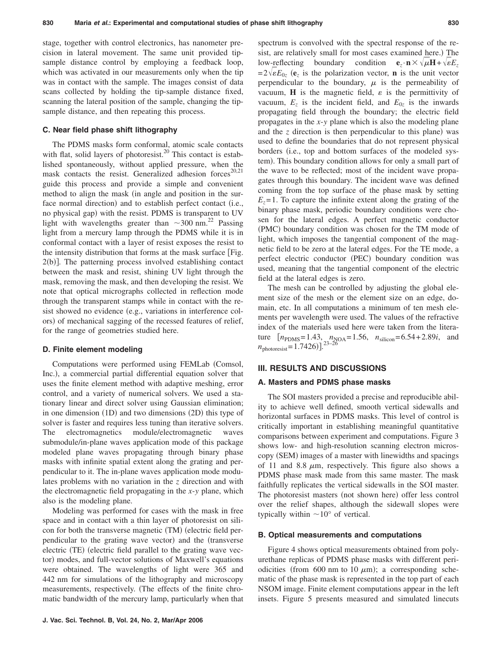stage, together with control electronics, has nanometer precision in lateral movement. The same unit provided tipsample distance control by employing a feedback loop, which was activated in our measurements only when the tip was in contact with the sample. The images consist of data scans collected by holding the tip-sample distance fixed, scanning the lateral position of the sample, changing the tipsample distance, and then repeating this process.

## **C. Near field phase shift lithography**

The PDMS masks form conformal, atomic scale contacts with flat, solid layers of photoresist.<sup>20</sup> This contact is established spontaneously, without applied pressure, when the mask contacts the resist. Generalized adhesion forces<sup>20,21</sup> guide this process and provide a simple and convenient method to align the mask (in angle and position in the surface normal direction) and to establish perfect contact (i.e., no physical gap) with the resist. PDMS is transparent to UV light with wavelengths greater than  $\sim$ 300 nm.<sup>22</sup> Passing light from a mercury lamp through the PDMS while it is in conformal contact with a layer of resist exposes the resist to the intensity distribution that forms at the mask surface Fig. 2(b)]. The patterning process involved establishing contact between the mask and resist, shining UV light through the mask, removing the mask, and then developing the resist. We note that optical micrographs collected in reflection mode through the transparent stamps while in contact with the resist showed no evidence (e.g., variations in interference colors) of mechanical sagging of the recessed features of relief, for the range of geometries studied here.

#### **D. Finite element modeling**

Computations were performed using FEMLab Comsol, Inc.), a commercial partial differential equation solver that uses the finite element method with adaptive meshing, error control, and a variety of numerical solvers. We used a stationary linear and direct solver using Gaussian elimination; in one dimension (1D) and two dimensions (2D) this type of solver is faster and requires less tuning than iterative solvers. The electromagnetics module/electromagnetic waves submodule/in-plane waves application mode of this package modeled plane waves propagating through binary phase masks with infinite spatial extent along the grating and perpendicular to it. The in-plane waves application mode modulates problems with no variation in the *z* direction and with the electromagnetic field propagating in the *x*-*y* plane, which also is the modeling plane.

Modeling was performed for cases with the mask in free space and in contact with a thin layer of photoresist on silicon for both the transverse magnetic (TM) (electric field perpendicular to the grating wave vector) and the (transverse electric (TE) (electric field parallel to the grating wave vector) modes, and full-vector solutions of Maxwell's equations were obtained. The wavelengths of light were 365 and 442 nm for simulations of the lithography and microscopy measurements, respectively. The effects of the finite chromatic bandwidth of the mercury lamp, particularly when that

sist, are relatively small for most cases examined here.) The low-reflecting boundary condition  $\mathbf{e}_z \cdot \mathbf{n} \times \sqrt{\mu} \mathbf{H} + \sqrt{\varepsilon} E_z$  $= 2\sqrt{\epsilon E_{0z}}$  (e<sub>z</sub> is the polarization vector, **n** is the unit vector perpendicular to the boundary,  $\mu$  is the permeability of vacuum, **H** is the magnetic field,  $\varepsilon$  is the permittivity of vacuum,  $E_z$  is the incident field, and  $E_{0z}$  is the inwards propagating field through the boundary; the electric field propagates in the *x*-*y* plane which is also the modeling plane and the  $z$  direction is then perpendicular to this plane) was used to define the boundaries that do not represent physical borders (i.e., top and bottom surfaces of the modeled system). This boundary condition allows for only a small part of the wave to be reflected; most of the incident wave propagates through this boundary. The incident wave was defined coming from the top surface of the phase mask by setting  $E_z = 1$ . To capture the infinite extent along the grating of the binary phase mask, periodic boundary conditions were chosen for the lateral edges. A perfect magnetic conductor (PMC) boundary condition was chosen for the TM mode of light, which imposes the tangential component of the magnetic field to be zero at the lateral edges. For the TE mode, a perfect electric conductor (PEC) boundary condition was used, meaning that the tangential component of the electric field at the lateral edges is zero.

spectrum is convolved with the spectral response of the re-

The mesh can be controlled by adjusting the global element size of the mesh or the element size on an edge, domain, etc. In all computations a minimum of ten mesh elements per wavelength were used. The values of the refractive index of the materials used here were taken from the literature  $[n_{\text{PDMS}} = 1.43, n_{\text{NOA}} = 1.56, n_{\text{silicon}} = 6.54 + 2.89i$ , and  $n_{\text{photoresist}} = 1.7426$ ]<sup>23–26</sup>

#### **III. RESULTS AND DISCUSSIONS**

# **A. Masters and PDMS phase masks**

The SOI masters provided a precise and reproducible ability to achieve well defined, smooth vertical sidewalls and horizontal surfaces in PDMS masks. This level of control is critically important in establishing meaningful quantitative comparisons between experiment and computations. Figure 3 shows low- and high-resolution scanning electron microscopy (SEM) images of a master with linewidths and spacings of 11 and 8.8  $\mu$ m, respectively. This figure also shows a PDMS phase mask made from this same master. The mask faithfully replicates the vertical sidewalls in the SOI master. The photoresist masters (not shown here) offer less control over the relief shapes, although the sidewall slopes were typically within  $\sim 10^{\circ}$  of vertical.

#### **B. Optical measurements and computations**

Figure 4 shows optical measurements obtained from polyurethane replicas of PDMS phase masks with different periodicities (from 600 nm to 10  $\mu$ m); a corresponding schematic of the phase mask is represented in the top part of each NSOM image. Finite element computations appear in the left insets. Figure 5 presents measured and simulated linecuts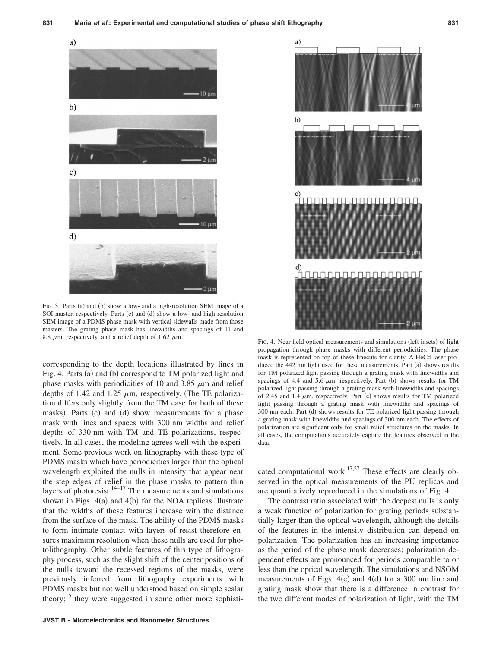

FIG. 3. Parts (a) and (b) show a low- and a high-resolution SEM image of a SOI master, respectively. Parts (c) and (d) show a low- and high-resolution SEM image of a PDMS phase mask with vertical sidewalls made from those masters. The grating phase mask has linewidths and spacings of 11 and 8.8  $\mu$ m, respectively, and a relief depth of 1.62  $\mu$ m.<br>FIG. 4. Near field optical measurements and simulations (left insets) of light

corresponding to the depth locations illustrated by lines in Fig. 4. Parts (a) and (b) correspond to TM polarized light and phase masks with periodicities of 10 and 3.85  $\mu$ m and relief depths of 1.42 and 1.25  $\mu$ m, respectively. (The TE polarization differs only slightly from the TM case for both of these masks). Parts (c) and (d) show measurements for a phase mask with lines and spaces with 300 nm widths and relief depths of 330 nm with TM and TE polarizations, respectively. In all cases, the modeling agrees well with the experiment. Some previous work on lithography with these type of PDMS masks which have periodicities larger than the optical wavelength exploited the nulls in intensity that appear near the step edges of relief in the phase masks to pattern thin layers of photoresist. $14-17$  The measurements and simulations shown in Figs. 4(a) and 4(b) for the NOA replicas illustrate that the widths of these features increase with the distance from the surface of the mask. The ability of the PDMS masks to form intimate contact with layers of resist therefore ensures maximum resolution when these nulls are used for photolithography. Other subtle features of this type of lithography process, such as the slight shift of the center positions of the nulls toward the recessed regions of the masks, were previously inferred from lithography experiments with PDMS masks but not well understood based on simple scalar theory;<sup>15</sup> they were suggested in some other more sophisti-



propagation through phase masks with different periodicities. The phase mask is represented on top of these linecuts for clarity. A HeCd laser produced the 442 nm light used for these measurements. Part (a) shows results for TM polarized light passing through a grating mask with linewidths and spacings of 4.4 and 5.6  $\mu$ m, respectively. Part (b) shows results for TM polarized light passing through a grating mask with linewidths and spacings of 2.45 and 1.4  $\mu$ m, respectively. Part (c) shows results for TM polarized light passing through a grating mask with linewidths and spacings of 300 nm each. Part (d) shows results for TE polarized light passing through a grating mask with linewidths and spacings of 300 nm each. The effects of polarization are significant only for small relief structures on the masks. In all cases, the computations accurately capture the features observed in the data.

cated computational work. $17,27$  These effects are clearly observed in the optical measurements of the PU replicas and are quantitatively reproduced in the simulations of Fig. 4.

The contrast ratio associated with the deepest nulls is only a weak function of polarization for grating periods substantially larger than the optical wavelength, although the details of the features in the intensity distribution can depend on polarization. The polarization has an increasing importance as the period of the phase mask decreases; polarization dependent effects are pronounced for periods comparable to or less than the optical wavelength. The simulations and NSOM measurements of Figs.  $4(c)$  and  $4(d)$  for a 300 nm line and grating mask show that there is a difference in contrast for the two different modes of polarization of light, with the TM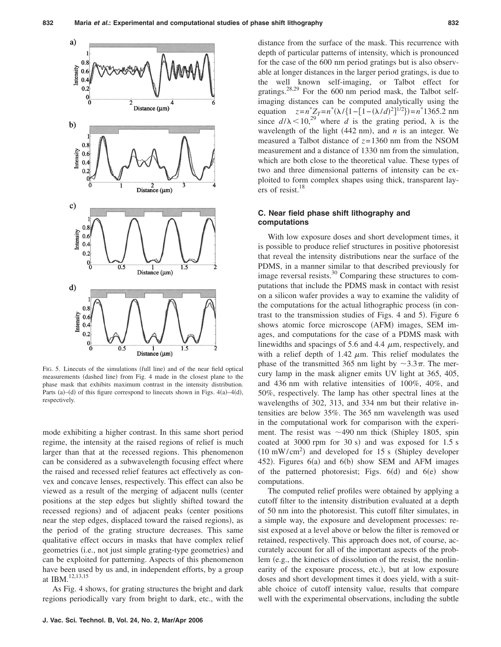

FIG. 5. Linecuts of the simulations (full line) and of the near field optical measurements (dashed line) from Fig. 4 made in the closest plane to the phase mask that exhibits maximum contrast in the intensity distribution. Parts (a)–(d) of this figure correspond to linecuts shown in Figs.  $4(a)$ – $4(d)$ , respectively.

mode exhibiting a higher contrast. In this same short period regime, the intensity at the raised regions of relief is much larger than that at the recessed regions. This phenomenon can be considered as a subwavelength focusing effect where the raised and recessed relief features act effectively as convex and concave lenses, respectively. This effect can also be viewed as a result of the merging of adjacent nulls center positions at the step edges but slightly shifted toward the recessed regions) and of adjacent peaks (center positions near the step edges, displaced toward the raised regions), as the period of the grating structure decreases. This same qualitative effect occurs in masks that have complex relief geometries (i.e., not just simple grating-type geometries) and can be exploited for patterning. Aspects of this phenomenon have been used by us and, in independent efforts, by a group at IBM.12,13,15

As Fig. 4 shows, for grating structures the bright and dark regions periodically vary from bright to dark, etc., with the distance from the surface of the mask. This recurrence with depth of particular patterns of intensity, which is pronounced for the case of the 600 nm period gratings but is also observable at longer distances in the larger period gratings, is due to the well known self-imaging, or Talbot effect for gratings.<sup>28,29</sup> For the 600 nm period mask, the Talbot selfimaging distances can be computed analytically using the equation  $z=n^*Z_T=n^*(\lambda/\{1-[1-(\lambda/d)^2]^{1/2}\})=n^*1365.2$  nm since  $d/\lambda < 10^{29}$  where *d* is the grating period,  $\lambda$  is the wavelength of the light  $(442 \text{ nm})$ , and *n* is an integer. We measured a Talbot distance of *z*= 1360 nm from the NSOM measurement and a distance of 1330 nm from the simulation, which are both close to the theoretical value. These types of two and three dimensional patterns of intensity can be exploited to form complex shapes using thick, transparent layers of resist.<sup>18</sup>

# **C. Near field phase shift lithography and computations**

With low exposure doses and short development times, it is possible to produce relief structures in positive photoresist that reveal the intensity distributions near the surface of the PDMS, in a manner similar to that described previously for image reversal resists.<sup>30</sup> Comparing these structures to computations that include the PDMS mask in contact with resist on a silicon wafer provides a way to examine the validity of the computations for the actual lithographic process (in contrast to the transmission studies of Figs. 4 and 5). Figure 6 shows atomic force microscope (AFM) images, SEM images, and computations for the case of a PDMS mask with linewidths and spacings of 5.6 and 4.4  $\mu$ m, respectively, and with a relief depth of 1.42  $\mu$ m. This relief modulates the phase of the transmitted 365 nm light by  $\sim$ 3.3 $\pi$ . The mercury lamp in the mask aligner emits UV light at 365, 405, and 436 nm with relative intensities of 100%, 40%, and 50%, respectively. The lamp has other spectral lines at the wavelengths of 302, 313, and 334 nm but their relative intensities are below 35%. The 365 nm wavelength was used in the computational work for comparison with the experiment. The resist was  $\sim$ 490 nm thick (Shipley 1805, spin coated at  $3000$  rpm for  $30$  s) and was exposed for  $1.5$  s  $(10 \text{ mW/cm}^2)$  and developed for 15 s (Shipley developer 452). Figures 6(a) and 6(b) show SEM and AFM images of the patterned photoresist; Figs.  $6(d)$  and  $6(e)$  show computations.

The computed relief profiles were obtained by applying a cutoff filter to the intensity distribution evaluated at a depth of 50 nm into the photoresist. This cutoff filter simulates, in a simple way, the exposure and development processes: resist exposed at a level above or below the filter is removed or retained, respectively. This approach does not, of course, accurately account for all of the important aspects of the problem (e.g., the kinetics of dissolution of the resist, the nonlinearity of the exposure process, etc.), but at low exposure doses and short development times it does yield, with a suitable choice of cutoff intensity value, results that compare well with the experimental observations, including the subtle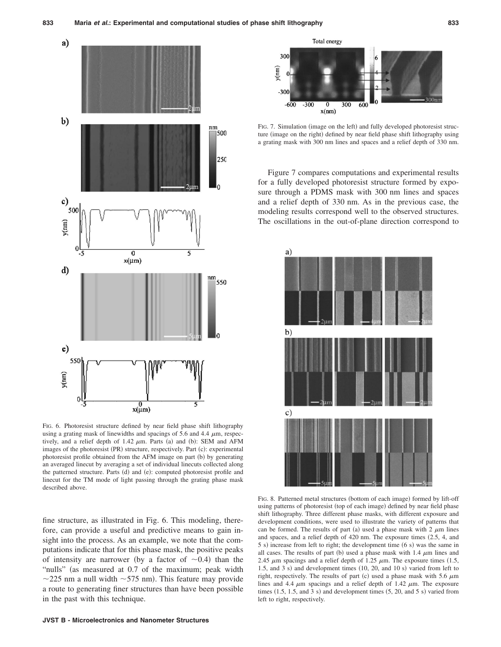

FIG. 6. Photoresist structure defined by near field phase shift lithography using a grating mask of linewidths and spacings of 5.6 and 4.4  $\mu$ m, respectively, and a relief depth of  $1.42 \mu m$ . Parts (a) and (b): SEM and AFM images of the photoresist (PR) structure, respectively. Part (c): experimental photoresist profile obtained from the AFM image on part (b) by generating an averaged linecut by averaging a set of individual linecuts collected along the patterned structure. Parts (d) and (e): computed photoresist profile and linecut for the TM mode of light passing through the grating phase mask described above.

fine structure, as illustrated in Fig. 6. This modeling, therefore, can provide a useful and predictive means to gain insight into the process. As an example, we note that the computations indicate that for this phase mask, the positive peaks of intensity are narrower (by a factor of  $\sim$  0.4) than the "nulls" (as measured at 0.7 of the maximum; peak width  $\sim$ 225 nm a null width  $\sim$ 575 nm). This feature may provide a route to generating finer structures than have been possible in the past with this technique.



FIG. 7. Simulation (image on the left) and fully developed photoresist structure (image on the right) defined by near field phase shift lithography using a grating mask with 300 nm lines and spaces and a relief depth of 330 nm.

Figure 7 compares computations and experimental results for a fully developed photoresist structure formed by exposure through a PDMS mask with 300 nm lines and spaces and a relief depth of 330 nm. As in the previous case, the modeling results correspond well to the observed structures. The oscillations in the out-of-plane direction correspond to



FIG. 8. Patterned metal structures (bottom of each image) formed by lift-off using patterns of photoresist (top of each image) defined by near field phase shift lithography. Three different phase masks, with different exposure and development conditions, were used to illustrate the variety of patterns that can be formed. The results of part (a) used a phase mask with  $2 \mu m$  lines and spaces, and a relief depth of 420 nm. The exposure times (2.5, 4, and 5 s) increase from left to right; the development time (6 s) was the same in all cases. The results of part (b) used a phase mask with 1.4  $\mu$ m lines and 2.45  $\mu$ m spacings and a relief depth of 1.25  $\mu$ m. The exposure times (1.5,  $1.5$ , and  $3$  s) and development times  $(10, 20,$  and  $10$  s) varied from left to right, respectively. The results of part (c) used a phase mask with 5.6  $\mu$ m lines and 4.4  $\mu$ m spacings and a relief depth of 1.42  $\mu$ m. The exposure times  $(1.5, 1.5,$  and  $3 \text{ s})$  and development times  $(5, 20,$  and  $5 \text{ s})$  varied from left to right, respectively.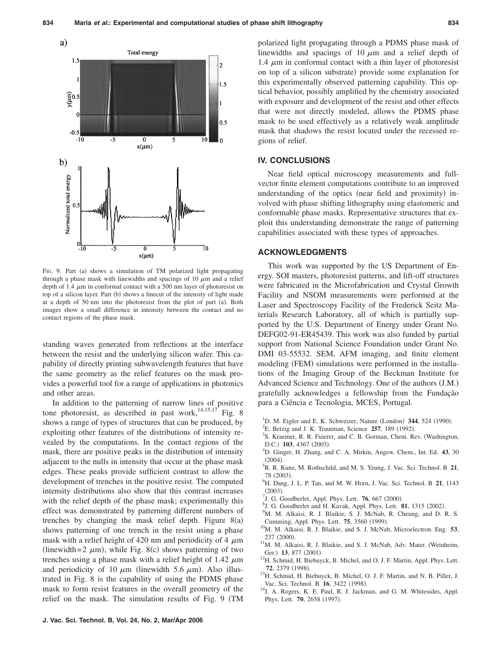

FIG. 9. Part (a) shows a simulation of TM polarized light propagating through a phase mask with linewidths and spacings of 10  $\mu$ m and a relief depth of 1.4  $\mu$ m in conformal contact with a 500 nm layer of photoresist on top of a silicon layer. Part (b) shows a linecut of the intensity of light made at a depth of 50 nm into the photoresist from the plot of part (a). Both images show a small difference in intensity between the contact and no contact regions of the phase mask.

standing waves generated from reflections at the interface between the resist and the underlying silicon wafer. This capability of directly printing subwavelength features that have the same geometry as the relief features on the mask provides a powerful tool for a range of applications in photonics and other areas.

In addition to the patterning of narrow lines of positive tone photoresist, as described in past work,  $14,15,17$  Fig. 8 shows a range of types of structures that can be produced, by exploiting other features of the distributions of intensity revealed by the computations. In the contact regions of the mask, there are positive peaks in the distribution of intensity adjacent to the nulls in intensity that occur at the phase mask edges. These peaks provide sufficient contrast to allow the development of trenches in the positive resist. The computed intensity distributions also show that this contrast increases with the relief depth of the phase mask; experimentally this effect was demonstrated by patterning different numbers of trenches by changing the mask relief depth. Figure  $8(a)$ shows patterning of one trench in the resist using a phase mask with a relief height of 420 nm and periodicity of 4  $\mu$ m (linewidth= $2 \mu m$ ), while Fig. 8(c) shows patterning of two trenches using a phase mask with a relief height of 1.42  $\mu$ m and periodicity of 10  $\mu$ m (linewidth 5.6  $\mu$ m). Also illustrated in Fig. 8 is the capability of using the PDMS phase mask to form resist features in the overall geometry of the relief on the mask. The simulation results of Fig. 9 (TM polarized light propagating through a PDMS phase mask of linewidths and spacings of 10  $\mu$ m and a relief depth of 1.4  $\mu$ m in conformal contact with a thin layer of photoresist on top of a silicon substrate) provide some explanation for this experimentally observed patterning capability. This optical behavior, possibly amplified by the chemistry associated with exposure and development of the resist and other effects that were not directly modeled, allows the PDMS phase mask to be used effectively as a relatively weak amplitude mask that shadows the resist located under the recessed regions of relief.

# **IV. CONCLUSIONS**

Near field optical microscopy measurements and fullvector finite element computations contribute to an improved understanding of the optics (near field and proximity) involved with phase shifting lithography using elastomeric and conformable phase masks. Representative structures that exploit this understanding demonstrate the range of patterning capabilities associated with these types of approaches.

# **ACKNOWLEDGMENTS**

This work was supported by the US Department of Energy. SOI masters, photoresist patterns, and lift-off structures were fabricated in the Microfabrication and Crystal Growth Facility and NSOM measurements were performed at the Laser and Spectroscopy Facility of the Frederick Seitz Materials Research Laboratory, all of which is partially supported by the U.S. Department of Energy under Grant No. DEFG02-91-ER45439. This work was also funded by partial support from National Science Foundation under Grant No. DMI 03-55532. SEM, AFM imaging, and finite element modeling (FEM) simulations were performed in the installations of the Imaging Group of the Beckman Institute for Advanced Science and Technology. One of the authors (J.M.) gratefully acknowledges a fellowship from the Fundação para a Ciência e Tecnologia, MCES, Portugal.

- <sup>1</sup>D. M. Eigler and E. K. Schweizer, Nature (London) **344**, 524 (1990).
- <sup>2</sup>E. Betzig and J. K. Trautman, Science **257**, 189 (1992).
- S. Kraemer, R. R. Fuierer, and C. B. Gorman, Chem. Rev. Washington,
- D.C.) **103**, 4367 (2003). D. Ginger, H. Zhang, and C. A. Mirkin, Angew. Chem., Int. Ed. **43**, 30
- $(2004)$ .<br> $5_{\text{D}}$  D V R. R. Kunz, M. Rothschild, and M. S. Yeung, J. Vac. Sci. Technol. B **21**,  $^{78}$  (2003).
- H. Dang, J. L. P. Tan, and M. W. Horn, J. Vac. Sci. Technol. B **21**, 1143  $\frac{(2003)}{7}$
- <sup>7</sup>J. G. Goodberlet, Appl. Phys. Lett. **76**, 667 (2000).
- <sup>8</sup>J. G. Goodberlet and H. Kavak, Appl. Phys. Lett. **81**, 1315 (2002).
- M. M. Alkaisi, R. J. Blaikie, S. J. McNab, R. Cheung, and D. R. S. Cumming, Appl. Phys. Lett. **75**, 3560 (1999).
- <sup>10</sup>M. M. Alkaisi, R. J. Blaikie, and S. J. McNab, Microelectron. Eng. 53, 237 (2000).
- <sup>11</sup>M. M. Alkaisi, R. J. Blaikie, and S. J. McNab, Adv. Mater. (Weinheim, Ger.) 13, 877 (2001)
- <sup>12</sup>H. Schmid, H. Biebuyck, B. Michel, and O. J. F. Martin, Appl. Phys. Lett. **72**, 2379 (1998).
- <sup>13</sup>H. Schmid, H. Biebuyck, B. Michel, O. J. F. Martin, and N. B. Piller, J. Vac. Sci. Technol. B 16, 3422 (1998).
- <sup>14</sup>J. A. Rogers, K. E. Paul, R. J. Jackman, and G. M. Whitesides, Appl. Phys. Lett. **70**, 2658 (1997).